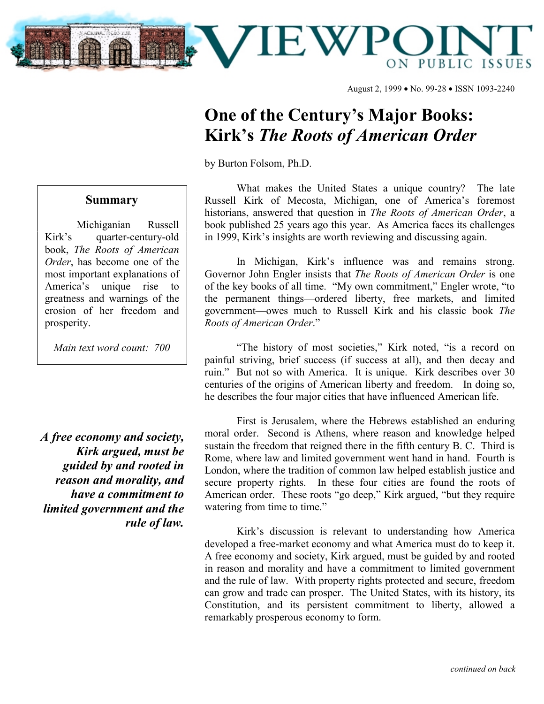

August 2, 1999 • No. 99-28 • ISSN 1093-2240

## **One of the Century's Major Books: Kirk's** *The Roots of American Order*

by Burton Folsom, Ph.D.

## **Summary**

Michiganian Russell Kirk's quarter-century-old book, *The Roots of American Order*, has become one of the most important explanations of America's unique rise to greatness and warnings of the erosion of her freedom and prosperity.

*Main text word count: 700*

*A free economy and society, Kirk argued, must be guided by and rooted in reason and morality, and have a commitment to limited government and the rule of law.*

What makes the United States a unique country? The late Russell Kirk of Mecosta, Michigan, one of America's foremost historians, answered that question in *The Roots of American Order*, a book published 25 years ago this year. As America faces its challenges in 1999, Kirk's insights are worth reviewing and discussing again.

In Michigan, Kirk's influence was and remains strong. Governor John Engler insists that *The Roots of American Order* is one of the key books of all time. "My own commitment," Engler wrote, "to the permanent things—ordered liberty, free markets, and limited government—owes much to Russell Kirk and his classic book *The Roots of American Order*."

"The history of most societies," Kirk noted, "is a record on painful striving, brief success (if success at all), and then decay and ruin." But not so with America. It is unique. Kirk describes over 30 centuries of the origins of American liberty and freedom. In doing so, he describes the four major cities that have influenced American life.

First is Jerusalem, where the Hebrews established an enduring moral order. Second is Athens, where reason and knowledge helped sustain the freedom that reigned there in the fifth century B. C. Third is Rome, where law and limited government went hand in hand. Fourth is London, where the tradition of common law helped establish justice and secure property rights. In these four cities are found the roots of American order. These roots "go deep," Kirk argued, "but they require watering from time to time."

Kirk's discussion is relevant to understanding how America developed a free-market economy and what America must do to keep it. A free economy and society, Kirk argued, must be guided by and rooted in reason and morality and have a commitment to limited government and the rule of law. With property rights protected and secure, freedom can grow and trade can prosper. The United States, with its history, its Constitution, and its persistent commitment to liberty, allowed a remarkably prosperous economy to form.